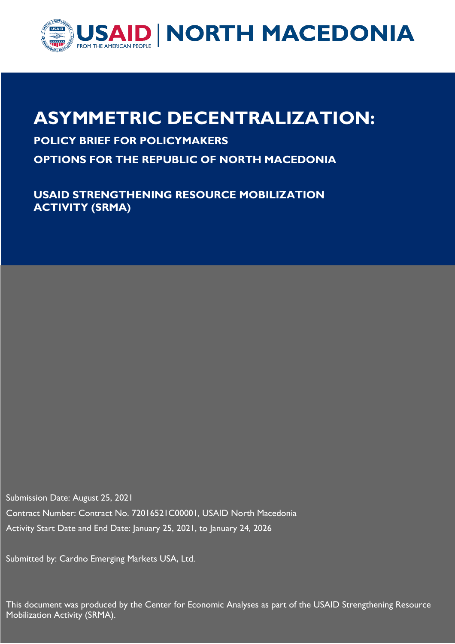

# **ASYMMETRIC DECENTRALIZATION:**

### **POLICY BRIEF FOR POLICYMAKERS**

**OPTIONS FOR THE REPUBLIC OF NORTH MACEDONIA** 

**USAID STRENGTHENING RESOURCE MOBILIZATION ACTIVITY (SRMA)**

Submission Date: August 25, 2021 Contract Number: Contract No. 72016521C00001, USAID North Macedonia Activity Start Date and End Date: January 25, 2021, to January 24, 2026

Submitted by: Cardno Emerging Markets USA, Ltd.

This document was produced by the Center for Economic Analyses as part of the USAID Strengthening Resource Mobilization Activity (SRMA).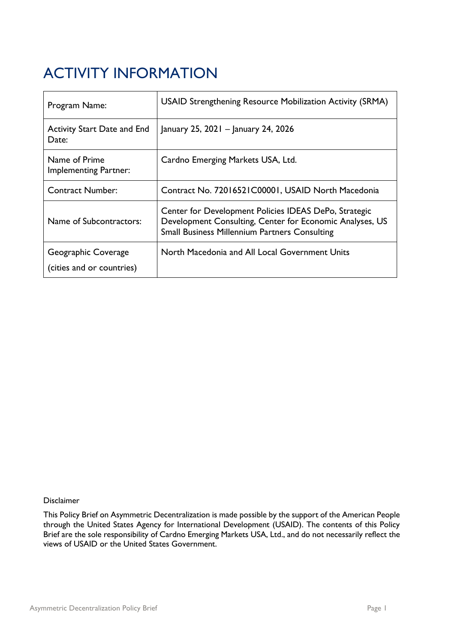# <span id="page-1-0"></span>ACTIVITY INFORMATION

| Program Name:                                 | USAID Strengthening Resource Mobilization Activity (SRMA)                                                                                                                 |
|-----------------------------------------------|---------------------------------------------------------------------------------------------------------------------------------------------------------------------------|
| <b>Activity Start Date and End</b><br>Date:   | January 25, 2021 – January 24, 2026                                                                                                                                       |
| Name of Prime<br><b>Implementing Partner:</b> | Cardno Emerging Markets USA, Ltd.                                                                                                                                         |
| <b>Contract Number:</b>                       | Contract No. 72016521C00001, USAID North Macedonia                                                                                                                        |
| Name of Subcontractors:                       | Center for Development Policies IDEAS DePo, Strategic<br>Development Consulting, Center for Economic Analyses, US<br><b>Small Business Millennium Partners Consulting</b> |
| Geographic Coverage                           | North Macedonia and All Local Government Units                                                                                                                            |
| (cities and or countries)                     |                                                                                                                                                                           |

#### Disclaimer

This Policy Brief on Asymmetric Decentralization is made possible by the support of the American People through the United States Agency for International Development (USAID). The contents of this Policy Brief are the sole responsibility of Cardno Emerging Markets USA, Ltd., and do not necessarily reflect the views of USAID or the United States Government.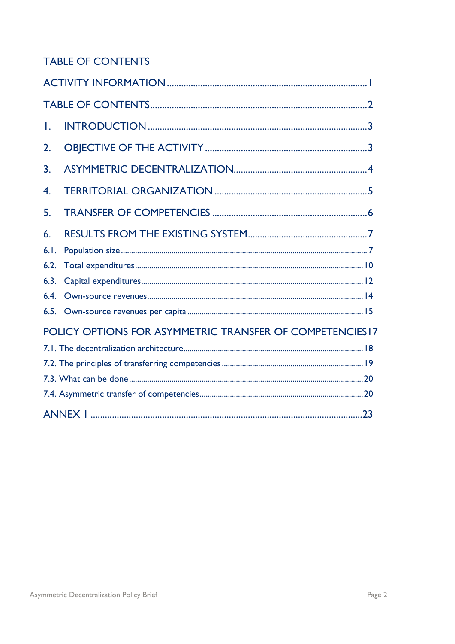### <span id="page-2-0"></span>**TABLE OF CONTENTS**

| Τ.                                                       |  |  |  |  |  |
|----------------------------------------------------------|--|--|--|--|--|
| 2.                                                       |  |  |  |  |  |
| 3.                                                       |  |  |  |  |  |
| $\overline{4}$ .                                         |  |  |  |  |  |
| 5.                                                       |  |  |  |  |  |
| 6.                                                       |  |  |  |  |  |
| 6.1.                                                     |  |  |  |  |  |
| 6.2.                                                     |  |  |  |  |  |
| 6.3.                                                     |  |  |  |  |  |
| 6.4.                                                     |  |  |  |  |  |
|                                                          |  |  |  |  |  |
| POLICY OPTIONS FOR ASYMMETRIC TRANSFER OF COMPETENCIES17 |  |  |  |  |  |
|                                                          |  |  |  |  |  |
|                                                          |  |  |  |  |  |
|                                                          |  |  |  |  |  |
|                                                          |  |  |  |  |  |
|                                                          |  |  |  |  |  |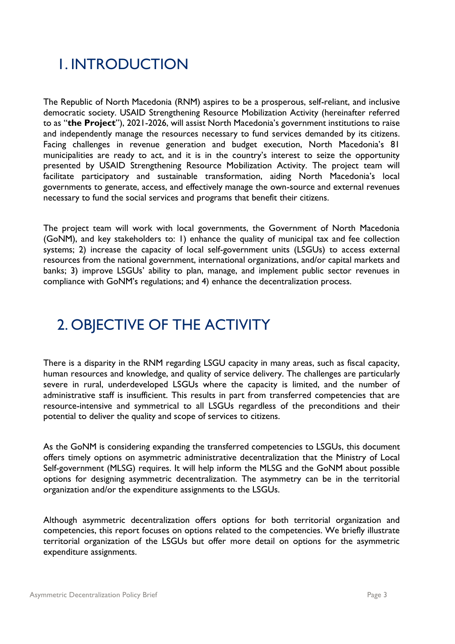## <span id="page-3-0"></span>1. INTRODUCTION

The Republic of North Macedonia (RNM) aspires to be a prosperous, self-reliant, and inclusive democratic society. USAID Strengthening Resource Mobilization Activity (hereinafter referred to as "**the Project**"), 2021-2026, will assist North Macedonia's government institutions to raise and independently manage the resources necessary to fund services demanded by its citizens. Facing challenges in revenue generation and budget execution, North Macedonia's 81 municipalities are ready to act, and it is in the country's interest to seize the opportunity presented by USAID Strengthening Resource Mobilization Activity. The project team will facilitate participatory and sustainable transformation, aiding North Macedonia's local governments to generate, access, and effectively manage the own-source and external revenues necessary to fund the social services and programs that benefit their citizens.

The project team will work with local governments, the Government of North Macedonia (GoNM), and key stakeholders to: 1) enhance the quality of municipal tax and fee collection systems; 2) increase the capacity of local self-government units (LSGUs) to access external resources from the national government, international organizations, and/or capital markets and banks; 3) improve LSGUs' ability to plan, manage, and implement public sector revenues in compliance with GoNM's regulations; and 4) enhance the decentralization process.

## <span id="page-3-1"></span>2. OBJECTIVE OF THE ACTIVITY

There is a disparity in the RNM regarding LSGU capacity in many areas, such as fiscal capacity, human resources and knowledge, and quality of service delivery. The challenges are particularly severe in rural, underdeveloped LSGUs where the capacity is limited, and the number of administrative staff is insufficient. This results in part from transferred competencies that are resource-intensive and symmetrical to all LSGUs regardless of the preconditions and their potential to deliver the quality and scope of services to citizens.

As the GoNM is considering expanding the transferred competencies to LSGUs, this document offers timely options on asymmetric administrative decentralization that the Ministry of Local Self-government (MLSG) requires. It will help inform the MLSG and the GoNM about possible options for designing asymmetric decentralization. The asymmetry can be in the territorial organization and/or the expenditure assignments to the LSGUs.

Although asymmetric decentralization offers options for both territorial organization and competencies, this report focuses on options related to the competencies. We briefly illustrate territorial organization of the LSGUs but offer more detail on options for the asymmetric expenditure assignments.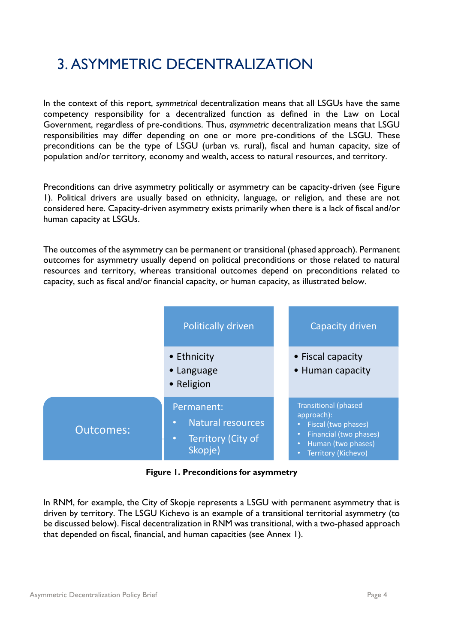## <span id="page-4-0"></span>3. ASYMMETRIC DECENTRALIZATION

In the context of this report, *symmetrical* decentralization means that all LSGUs have the same competency responsibility for a decentralized function as defined in the Law on Local Government, regardless of pre-conditions. Thus, *asymmetric* decentralization means that LSGU responsibilities may differ depending on one or more pre-conditions of the LSGU. These preconditions can be the type of LSGU (urban vs. rural), fiscal and human capacity, size of population and/or territory, economy and wealth, access to natural resources, and territory.

Preconditions can drive asymmetry politically or asymmetry can be capacity-driven (see Figure 1). Political drivers are usually based on ethnicity, language, or religion, and these are not considered here. Capacity-driven asymmetry exists primarily when there is a lack of fiscal and/or human capacity at LSGUs.

The outcomes of the asymmetry can be permanent or transitional (phased approach). Permanent outcomes for asymmetry usually depend on political preconditions or those related to natural resources and territory, whereas transitional outcomes depend on preconditions related to capacity, such as fiscal and/or financial capacity, or human capacity, as illustrated below.



**Figure 1. Preconditions for asymmetry**

In RNM, for example, the City of Skopje represents a LSGU with permanent asymmetry that is driven by territory. The LSGU Kichevo is an example of a transitional territorial asymmetry (to be discussed below). Fiscal decentralization in RNM was transitional, with a two-phased approach that depended on fiscal, financial, and human capacities (see Annex 1).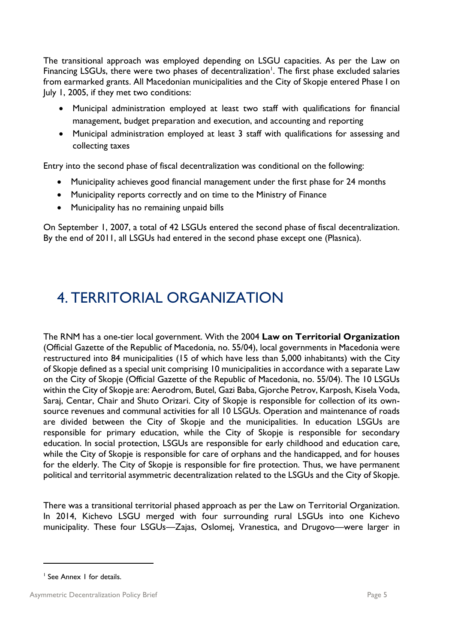The transitional approach was employed depending on LSGU capacities. As per the Law on Financing LSGUs, there were two phases of decentralization<sup>1</sup>. The first phase excluded salaries from earmarked grants. All Macedonian municipalities and the City of Skopje entered Phase I on July 1, 2005, if they met two conditions:

- Municipal administration employed at least two staff with qualifications for financial management, budget preparation and execution, and accounting and reporting
- Municipal administration employed at least 3 staff with qualifications for assessing and collecting taxes

Entry into the second phase of fiscal decentralization was conditional on the following:

- Municipality achieves good financial management under the first phase for 24 months
- Municipality reports correctly and on time to the Ministry of Finance
- Municipality has no remaining unpaid bills

On September 1, 2007, a total of 42 LSGUs entered the second phase of fiscal decentralization. By the end of 2011, all LSGUs had entered in the second phase except one (Plasnica).

### <span id="page-5-0"></span>4. TERRITORIAL ORGANIZATION

The RNM has a one-tier local government. With the 2004 **Law on Territorial Organization** (Official Gazette of the Republic of Macedonia, no. 55/04), local governments in Macedonia were restructured into 84 municipalities (15 of which have less than 5,000 inhabitants) with the City of Skopje defined as a special unit comprising 10 municipalities in accordance with a separate Law on the City of Skopje (Official Gazette of the Republic of Macedonia, no. 55/04). The 10 LSGUs within the City of Skopje are: Aerodrom, Butel, Gazi Baba, Gjorche Petrov, Karposh, Kisela Voda, Saraj, Centar, Chair and Shuto Orizari. City of Skopje is responsible for collection of its ownsource revenues and communal activities for all 10 LSGUs. Operation and maintenance of roads are divided between the City of Skopje and the municipalities. In education LSGUs are responsible for primary education, while the City of Skopje is responsible for secondary education. In social protection, LSGUs are responsible for early childhood and education care, while the City of Skopje is responsible for care of orphans and the handicapped, and for houses for the elderly. The City of Skopje is responsible for fire protection. Thus, we have permanent political and territorial asymmetric decentralization related to the LSGUs and the City of Skopje.

There was a transitional territorial phased approach as per the Law on Territorial Organization. In 2014, Kichevo LSGU merged with four surrounding rural LSGUs into one Kichevo municipality. These four LSGUs—Zajas, Oslomej, Vranestica, and Drugovo—were larger in

<sup>&</sup>lt;sup>1</sup> See Annex 1 for details.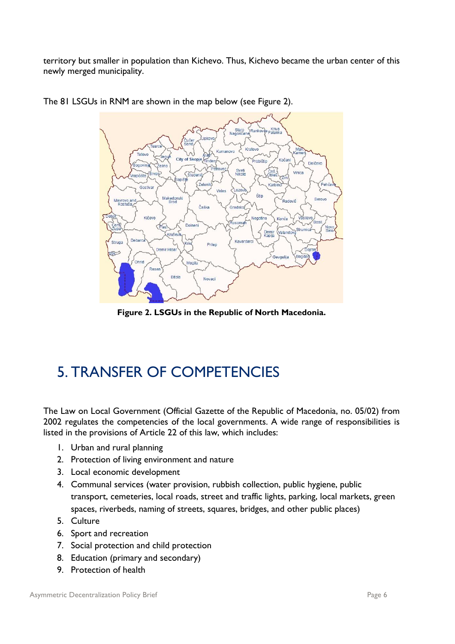territory but smaller in population than Kichevo. Thus, Kichevo became the urban center of this newly merged municipality.



The 81 LSGUs in RNM are shown in the map below (see Figure 2).

**Figure 2. LSGUs in the Republic of North Macedonia.**

### <span id="page-6-0"></span>5. TRANSFER OF COMPETENCIES

The Law on Local Government (Official Gazette of the Republic of Macedonia, no. 05/02) from 2002 regulates the competencies of the local governments. A wide range of responsibilities is listed in the provisions of Article 22 of this law, which includes:

- 1. Urban and rural planning
- 2. Protection of living environment and nature
- 3. Local economic development
- 4. Communal services (water provision, rubbish collection, public hygiene, public transport, cemeteries, local roads, street and traffic lights, parking, local markets, green spaces, riverbeds, naming of streets, squares, bridges, and other public places)
- 5. Culture
- 6. Sport and recreation
- 7. Social protection and child protection
- 8. Education (primary and secondary)
- 9. Protection of health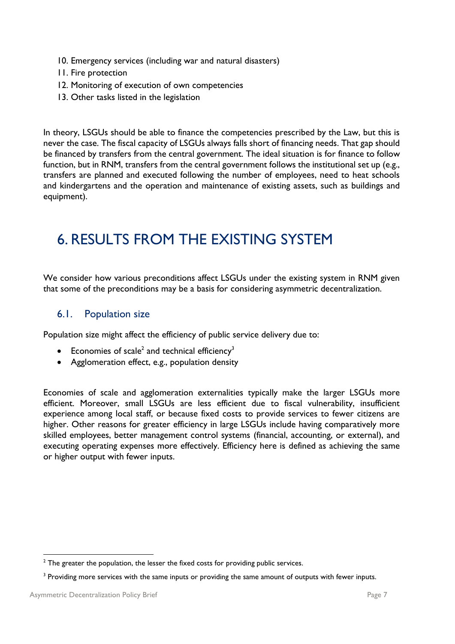- 10. Emergency services (including war and natural disasters)
- 11. Fire protection
- 12. Monitoring of execution of own competencies
- 13. Other tasks listed in the legislation

In theory, LSGUs should be able to finance the competencies prescribed by the Law, but this is never the case. The fiscal capacity of LSGUs always falls short of financing needs. That gap should be financed by transfers from the central government. The ideal situation is for finance to follow function, but in RNM, transfers from the central government follows the institutional set up (e.g., transfers are planned and executed following the number of employees, need to heat schools and kindergartens and the operation and maintenance of existing assets, such as buildings and equipment).

### <span id="page-7-0"></span>6. RESULTS FROM THE EXISTING SYSTEM

We consider how various preconditions affect LSGUs under the existing system in RNM given that some of the preconditions may be a basis for considering asymmetric decentralization.

#### <span id="page-7-1"></span>6.1. Population size

Population size might affect the efficiency of public service delivery due to:

- **•** Economies of scale<sup>2</sup> and technical efficiency<sup>3</sup>
- Agglomeration effect, e.g., population density

Economies of scale and agglomeration externalities typically make the larger LSGUs more efficient. Moreover, small LSGUs are less efficient due to fiscal vulnerability, insufficient experience among local staff, or because fixed costs to provide services to fewer citizens are higher. Other reasons for greater efficiency in large LSGUs include having comparatively more skilled employees, better management control systems (financial, accounting, or external), and executing operating expenses more effectively. Efficiency here is defined as achieving the same or higher output with fewer inputs.

 $2$  The greater the population, the lesser the fixed costs for providing public services.

<sup>&</sup>lt;sup>3</sup> Providing more services with the same inputs or providing the same amount of outputs with fewer inputs.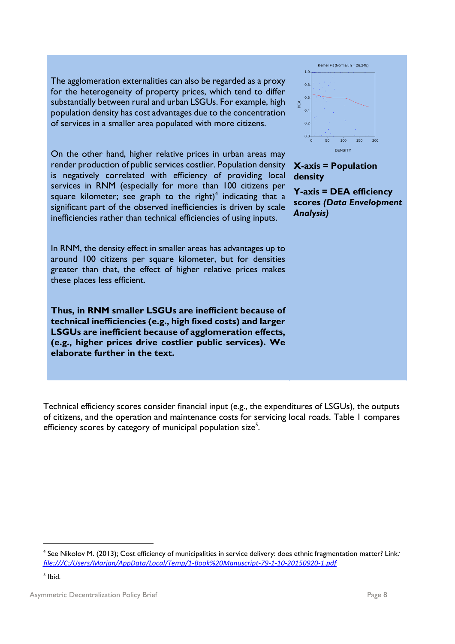The agglomeration externalities can also be regarded as a proxy for the heterogeneity of property prices, which tend to differ substantially between rural and urban LSGUs. For example, high population density has cost advantages due to the concentration of services in a smaller area populated with more citizens.

On the other hand, higher relative prices in urban areas may render production of public services costlier. Population density is negatively correlated with efficiency of providing local services in RNM (especially for more than 100 citizens per square kilometer; see graph to the right)<sup>4</sup> indicating that a significant part of the observed inefficiencies is driven by scale inefficiencies rather than technical efficiencies of using inputs.

In RNM, the density effect in smaller areas has advantages up to around 100 citizens per square kilometer, but for densities greater than that, the effect of higher relative prices makes these places less efficient.

**Thus, in RNM smaller LSGUs are inefficient because of technical inefficiencies (e.g., high fixed costs) and larger LSGUs are inefficient because of agglomeration effects, (e.g., higher prices drive costlier public services). We elaborate further in the text.** 

Technical efficiency scores consider financial input (e.g., the expenditures of LSGUs), the outputs of citizens, and the operation and maintenance costs for servicing local roads. Table 1 compares efficiency scores by category of municipal population size<sup>5</sup>.



<sup>&</sup>lt;sup>5</sup> Ibid.



Kemel Fit (Normal,  $h = 26.248$ )

 $\overline{0}$  $0.6$  $0.8$ 1.0

DEA

#### **X-axis = Population density**

**Y-axis = DEA efficiency scores** *(Data Envelopment Analysis)*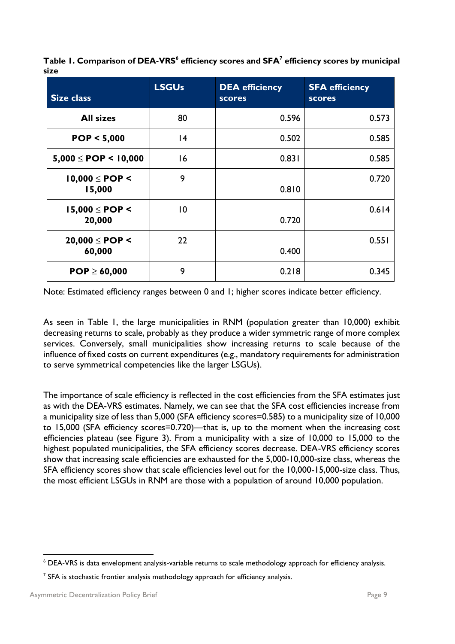| Table 1. Comparison of DEA-VRS <sup>6</sup> efficiency scores and SFA <sup>7</sup> efficiency scores by municipal |  |
|-------------------------------------------------------------------------------------------------------------------|--|
| size                                                                                                              |  |

| <b>Size class</b>            | <b>LSGUs</b> | <b>DEA</b> efficiency<br><b>scores</b> | <b>SFA efficiency</b><br><b>scores</b> |
|------------------------------|--------------|----------------------------------------|----------------------------------------|
| <b>All sizes</b>             | 80           | 0.596                                  | 0.573                                  |
| POP < 5,000                  | 4            | 0.502                                  | 0.585                                  |
| $5,000 \le POP < 10,000$     | 16           | 0.831                                  | 0.585                                  |
| $10,000 \le POP <$<br>15,000 | 9            | 0.810                                  | 0.720                                  |
| $15,000 \le POP <$<br>20,000 | $ 0\rangle$  | 0.720                                  | 0.614                                  |
| $20,000 \le POP <$<br>60,000 | 22           | 0.400                                  | 0.551                                  |
| $POP \ge 60,000$             | 9            | 0.218                                  | 0.345                                  |

Note: Estimated efficiency ranges between 0 and 1; higher scores indicate better efficiency.

As seen in Table 1, the large municipalities in RNM (population greater than 10,000) exhibit decreasing returns to scale, probably as they produce a wider symmetric range of more complex services. Conversely, small municipalities show increasing returns to scale because of the influence of fixed costs on current expenditures (e.g., mandatory requirements for administration to serve symmetrical competencies like the larger LSGUs).

The importance of scale efficiency is reflected in the cost efficiencies from the SFA estimates just as with the DEA-VRS estimates. Namely, we can see that the SFA cost efficiencies increase from a municipality size of less than 5,000 (SFA efficiency scores=0.585) to a municipality size of 10,000 to 15,000 (SFA efficiency scores=0.720)—that is, up to the moment when the increasing cost efficiencies plateau (see Figure 3). From a municipality with a size of 10,000 to 15,000 to the highest populated municipalities, the SFA efficiency scores decrease. DEA-VRS efficiency scores show that increasing scale efficiencies are exhausted for the 5,000-10,000-size class, whereas the SFA efficiency scores show that scale efficiencies level out for the 10,000-15,000-size class. Thus, the most efficient LSGUs in RNM are those with a population of around 10,000 population.

<sup>6</sup> DEA-VRS is data envelopment analysis-variable returns to scale methodology approach for efficiency analysis.

 $7$  SFA is stochastic frontier analysis methodology approach for efficiency analysis.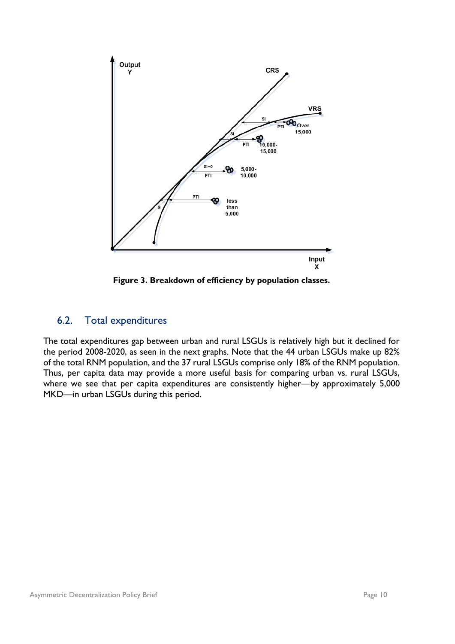

**Figure 3. Breakdown of efficiency by population classes.**

#### <span id="page-10-0"></span>6.2. Total expenditures

The total expenditures gap between urban and rural LSGUs is relatively high but it declined for the period 2008-2020, as seen in the next graphs. Note that the 44 urban LSGUs make up 82% of the total RNM population, and the 37 rural LSGUs comprise only 18% of the RNM population. Thus, per capita data may provide a more useful basis for comparing urban vs. rural LSGUs, where we see that per capita expenditures are consistently higher—by approximately 5,000 MKD—in urban LSGUs during this period.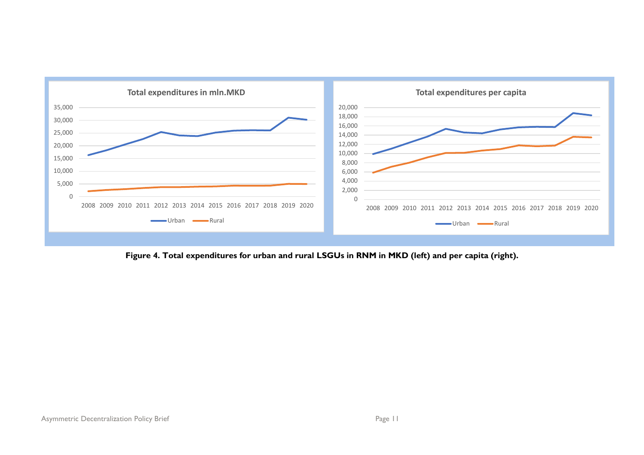

**Figure 4. Total expenditures for urban and rural LSGUs in RNM in MKD (left) and per capita (right).**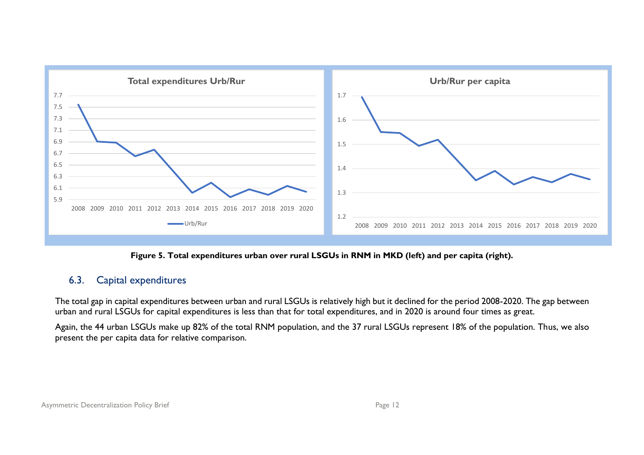

**Figure 5. Total expenditures urban over rural LSGUs in RNM in MKD (left) and per capita (right).**

#### 6.3. Capital expenditures

The total gap in capital expenditures between urban and rural LSGUs is relatively high but it declined for the period 2008-2020. The gap between urban and rural LSGUs for capital expenditures is less than that for total expenditures, and in 2020 is around four times as great.

<span id="page-12-0"></span>Again, the 44 urban LSGUs make up 82% of the total RNM population, and the 37 rural LSGUs represent 18% of the population. Thus, we also present the per capita data for relative comparison.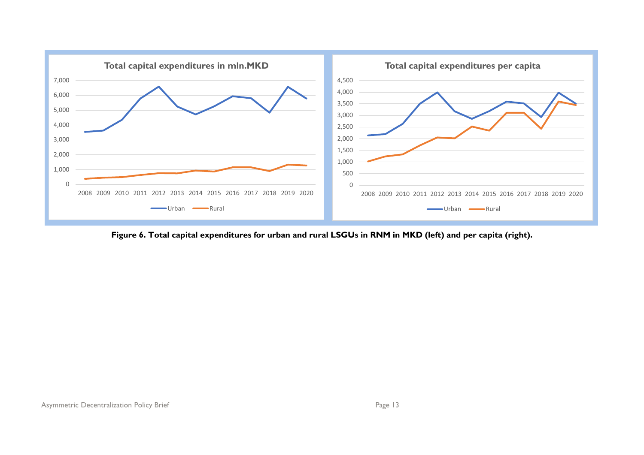

**Figure 6. Total capital expenditures for urban and rural LSGUs in RNM in MKD (left) and per capita (right).**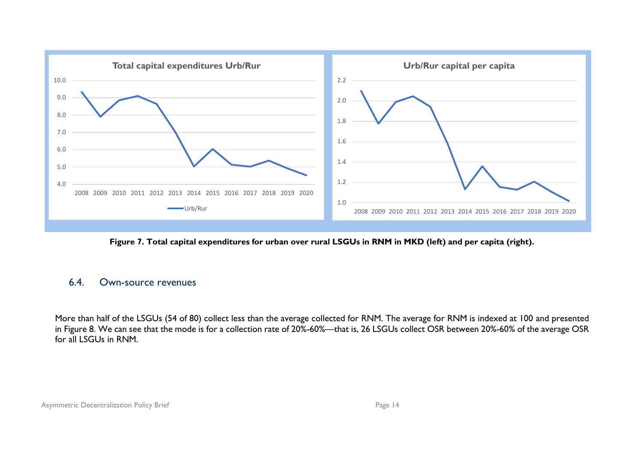

**Figure 7. Total capital expenditures for urban over rural LSGUs in RNM in MKD (left) and per capita (right).**

#### 6.4. Own-source revenues

<span id="page-14-0"></span>More than half of the LSGUs (54 of 80) collect less than the average collected for RNM. The average for RNM is indexed at 100 and presented in Figure 8. We can see that the mode is for a collection rate of 20%-60%—that is, 26 LSGUs collect OSR between 20%-60% of the average OSR for all LSGUs in RNM.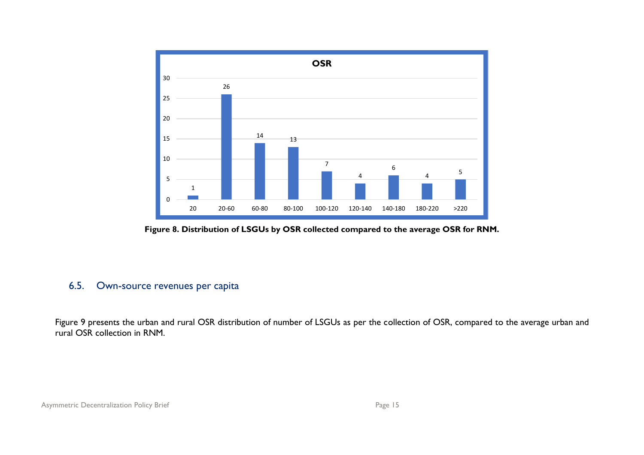

**Figure 8. Distribution of LSGUs by OSR collected compared to the average OSR for RNM.** 

#### 6.5. Own-source revenues per capita

<span id="page-15-0"></span>Figure 9 presents the urban and rural OSR distribution of number of LSGUs as per the collection of OSR, compared to the average urban and rural OSR collection in RNM.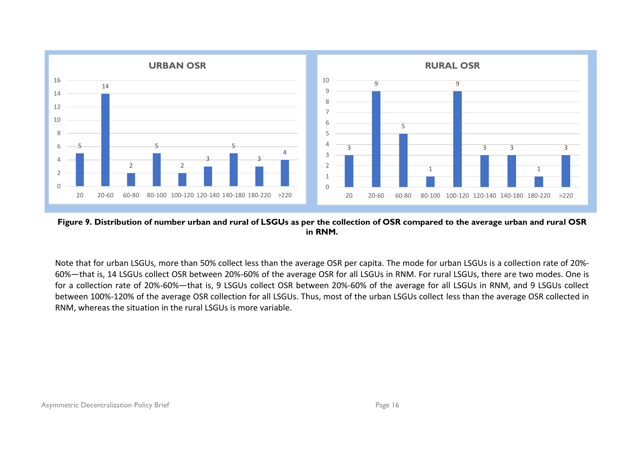

**Figure 9. Distribution of number urban and rural of LSGUs as per the collection of OSR compared to the average urban and rural OSR in RNM.**

Note that for urban LSGUs, more than 50% collect less than the average OSR per capita. The mode for urban LSGUs is a collection rate of 20%- 60%—that is, 14 LSGUs collect OSR between 20%-60% of the average OSR for all LSGUs in RNM. For rural LSGUs, there are two modes. One is for a collection rate of 20%-60%—that is, 9 LSGUs collect OSR between 20%-60% of the average for all LSGUs in RNM, and 9 LSGUs collect between 100%-120% of the average OSR collection for all LSGUs. Thus, most of the urban LSGUs collect less than the average OSR collected in RNM, whereas the situation in the rural LSGUs is more variable.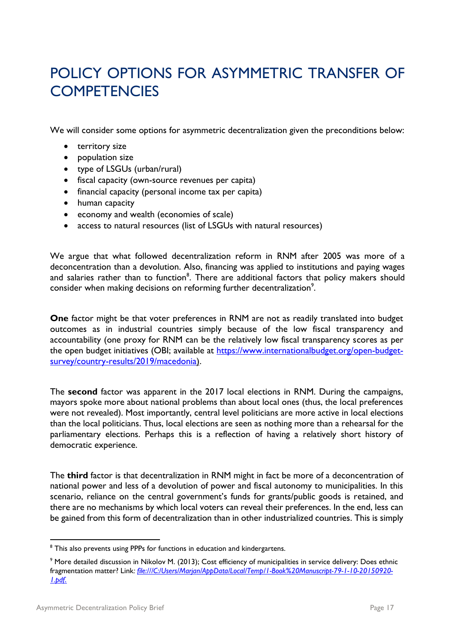### <span id="page-17-0"></span>POLICY OPTIONS FOR ASYMMETRIC TRANSFER OF **COMPETENCIES**

We will consider some options for asymmetric decentralization given the preconditions below:

- territory size
- population size
- type of LSGUs (urban/rural)
- fiscal capacity (own-source revenues per capita)
- financial capacity (personal income tax per capita)
- human capacity
- economy and wealth (economies of scale)
- access to natural resources (list of LSGUs with natural resources)

We argue that what followed decentralization reform in RNM after 2005 was more of a deconcentration than a devolution. Also, financing was applied to institutions and paying wages and salaries rather than to function<sup>8</sup>. There are additional factors that policy makers should consider when making decisions on reforming further decentralization<sup>9</sup>.

**One** factor might be that voter preferences in RNM are not as readily translated into budget outcomes as in industrial countries simply because of the low fiscal transparency and accountability (one proxy for RNM can be the relatively low fiscal transparency scores as per the open budget initiatives (OBI; available at [https://www.internationalbudget.org/open-budget](https://www.internationalbudget.org/open-budget-survey/country-results/2019/macedonia)[survey/country-results/2019/macedonia\)](https://www.internationalbudget.org/open-budget-survey/country-results/2019/macedonia).

The **second** factor was apparent in the 2017 local elections in RNM. During the campaigns, mayors spoke more about national problems than about local ones (thus, the local preferences were not revealed). Most importantly, central level politicians are more active in local elections than the local politicians. Thus, local elections are seen as nothing more than a rehearsal for the parliamentary elections. Perhaps this is a reflection of having a relatively short history of democratic experience.

The **third** factor is that decentralization in RNM might in fact be more of a deconcentration of national power and less of a devolution of power and fiscal autonomy to municipalities. In this scenario, reliance on the central government's funds for grants/public goods is retained, and there are no mechanisms by which local voters can reveal their preferences. In the end, less can be gained from this form of decentralization than in other industrialized countries. This is simply

<sup>&</sup>lt;sup>8</sup> This also prevents using PPPs for functions in education and kindergartens.

<sup>9</sup> More detailed discussion in Nikolov M. (2013); Cost efficiency of municipalities in service delivery: Does ethnic fragmentation matter? Link*: [file:///C:/Users/Marjan/AppData/Local/Temp/1-Book%20Manuscript-79-1-10-20150920-](file:///C:/Users/Marjan/AppData/Local/Temp/1-Book%20Manuscript-79-1-10-20150920-1.pdf) [1.pdf](file:///C:/Users/Marjan/AppData/Local/Temp/1-Book%20Manuscript-79-1-10-20150920-1.pdf).*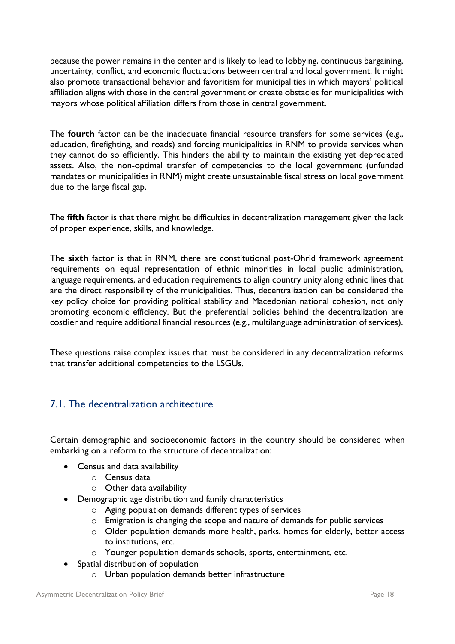because the power remains in the center and is likely to lead to lobbying, continuous bargaining, uncertainty, conflict, and economic fluctuations between central and local government. It might also promote transactional behavior and favoritism for municipalities in which mayors' political affiliation aligns with those in the central government or create obstacles for municipalities with mayors whose political affiliation differs from those in central government.

The **fourth** factor can be the inadequate financial resource transfers for some services (e.g., education, firefighting, and roads) and forcing municipalities in RNM to provide services when they cannot do so efficiently. This hinders the ability to maintain the existing yet depreciated assets. Also, the non-optimal transfer of competencies to the local government (unfunded mandates on municipalities in RNM) might create unsustainable fiscal stress on local government due to the large fiscal gap.

The **fifth** factor is that there might be difficulties in decentralization management given the lack of proper experience, skills, and knowledge.

The **sixth** factor is that in RNM, there are constitutional post-Ohrid framework agreement requirements on equal representation of ethnic minorities in local public administration, language requirements, and education requirements to align country unity along ethnic lines that are the direct responsibility of the municipalities. Thus, decentralization can be considered the key policy choice for providing political stability and Macedonian national cohesion, not only promoting economic efficiency. But the preferential policies behind the decentralization are costlier and require additional financial resources (e.g., multilanguage administration of services).

These questions raise complex issues that must be considered in any decentralization reforms that transfer additional competencies to the LSGUs.

#### <span id="page-18-0"></span>7.1. The decentralization architecture

Certain demographic and socioeconomic factors in the country should be considered when embarking on a reform to the structure of decentralization:

- Census and data availability
	- o Census data
	- $\circ$  Other data availability
- Demographic age distribution and family characteristics
	- o Aging population demands different types of services
	- o Emigration is changing the scope and nature of demands for public services
	- o Older population demands more health, parks, homes for elderly, better access to institutions, etc.
	- o Younger population demands schools, sports, entertainment, etc.
- Spatial distribution of population
	- o Urban population demands better infrastructure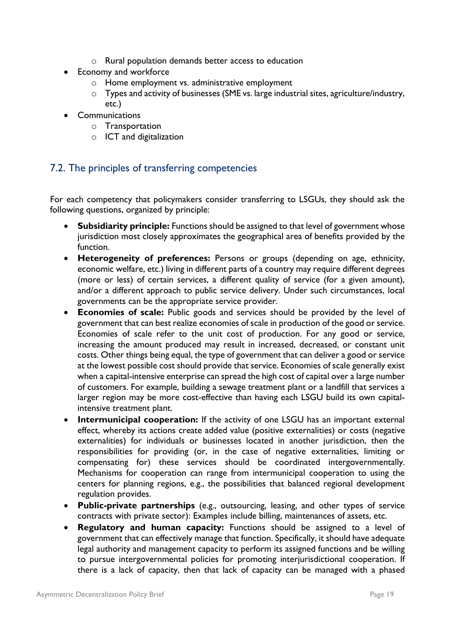- o Rural population demands better access to education
- Economy and workforce
	- o Home employment vs. administrative employment
	- o Types and activity of businesses (SME vs. large industrial sites, agriculture/industry, etc.)
- Communications
	- o Transportation
	- o ICT and digitalization

#### <span id="page-19-0"></span>7.2. The principles of transferring competencies

For each competency that policymakers consider transferring to LSGUs, they should ask the following questions, organized by principle:

- **Subsidiarity principle:** Functions should be assigned to that level of government whose jurisdiction most closely approximates the geographical area of benefits provided by the function.
- **Heterogeneity of preferences:** Persons or groups (depending on age, ethnicity, economic welfare, etc.) living in different parts of a country may require different degrees (more or less) of certain services, a different quality of service (for a given amount), and/or a different approach to public service delivery. Under such circumstances, local governments can be the appropriate service provider.
- **Economies of scale:** Public goods and services should be provided by the level of government that can best realize economies of scale in production of the good or service. Economies of scale refer to the unit cost of production. For any good or service, increasing the amount produced may result in increased, decreased, or constant unit costs. Other things being equal, the type of government that can deliver a good or service at the lowest possible cost should provide that service. Economies of scale generally exist when a capital-intensive enterprise can spread the high cost of capital over a large number of customers. For example, building a sewage treatment plant or a landfill that services a larger region may be more cost-effective than having each LSGU build its own capitalintensive treatment plant.
- **Intermunicipal cooperation:** If the activity of one LSGU has an important external effect, whereby its actions create added value (positive externalities) or costs (negative externalities) for individuals or businesses located in another jurisdiction, then the responsibilities for providing (or, in the case of negative externalities, limiting or compensating for) these services should be coordinated intergovernmentally. Mechanisms for cooperation can range from intermunicipal cooperation to using the centers for planning regions, e.g., the possibilities that balanced regional development regulation provides.
- **Public-private partnerships** (e.g., outsourcing, leasing, and other types of service contracts with private sector): Examples include billing, maintenances of assets, etc.
- **Regulatory and human capacity:** Functions should be assigned to a level of government that can effectively manage that function. Specifically, it should have adequate legal authority and management capacity to perform its assigned functions and be willing to pursue intergovernmental policies for promoting interjurisdictional cooperation. If there is a lack of capacity, then that lack of capacity can be managed with a phased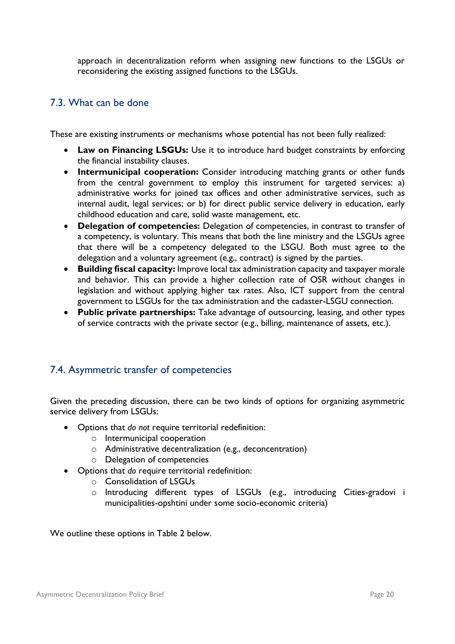approach in decentralization reform when assigning new functions to the LSGUs or reconsidering the existing assigned functions to the LSGUs.

#### <span id="page-20-0"></span>7.3. What can be done

These are existing instruments or mechanisms whose potential has not been fully realized:

- **Law on Financing LSGUs:** Use it to introduce hard budget constraints by enforcing the financial instability clauses.
- **Intermunicipal cooperation:** Consider introducing matching grants or other funds from the central government to employ this instrument for targeted services: a) administrative works for joined tax offices and other administrative services, such as internal audit, legal services; or b) for direct public service delivery in education, early childhood education and care, solid waste management, etc.
- **Delegation of competencies:** Delegation of competencies, in contrast to transfer of a competency, is voluntary. This means that both the line ministry and the LSGUs agree that there will be a competency delegated to the LSGU. Both must agree to the delegation and a voluntary agreement (e.g., contract) is signed by the parties.
- **Building fiscal capacity:** Improve local tax administration capacity and taxpayer morale and behavior. This can provide a higher collection rate of OSR without changes in legislation and without applying higher tax rates. Also, ICT support from the central government to LSGUs for the tax administration and the cadaster-LSGU connection.
- **Public private partnerships:** Take advantage of outsourcing, leasing, and other types of service contracts with the private sector (e.g., billing, maintenance of assets, etc.).

#### <span id="page-20-1"></span>7.4. Asymmetric transfer of competencies

Given the preceding discussion, there can be two kinds of options for organizing asymmetric service delivery from LSGUs:

- Options that *do not* require territorial redefinition:
	- o Intermunicipal cooperation
	- o Administrative decentralization (e.g., deconcentration)
	- o Delegation of competencies
- Options that *do* require territorial redefinition:
	- o Consolidation of LSGUs
	- o Introducing different types of LSGUs (e.g., introducing Cities-gradovi i municipalities-opshtini under some socio-economic criteria)

We outline these options in Table 2 below.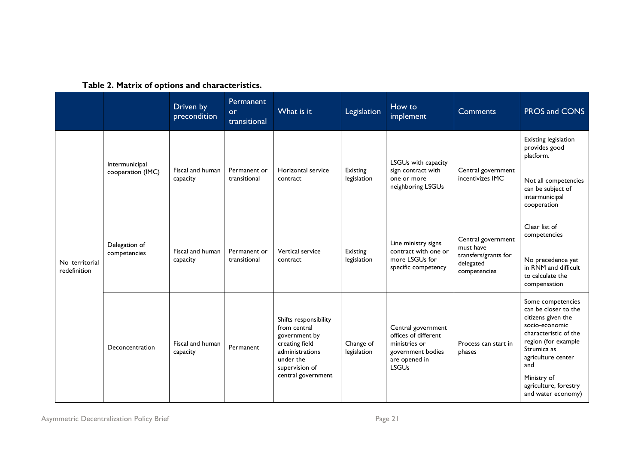|                                |                                     | Driven by<br>precondition    | <b>Permanent</b><br><b>or</b><br>transitional | What is it                                                                                                                                       | Legislation              | How to<br>implement                                                                                               | <b>Comments</b>                                                                      | PROS and CONS                                                                                                                                                                                                                               |
|--------------------------------|-------------------------------------|------------------------------|-----------------------------------------------|--------------------------------------------------------------------------------------------------------------------------------------------------|--------------------------|-------------------------------------------------------------------------------------------------------------------|--------------------------------------------------------------------------------------|---------------------------------------------------------------------------------------------------------------------------------------------------------------------------------------------------------------------------------------------|
| No territorial<br>redefinition | Intermunicipal<br>cooperation (IMC) | Fiscal and human<br>capacity | Permanent or<br>transitional                  | Horizontal service<br>contract                                                                                                                   | Existing<br>legislation  | LSGUs with capacity<br>sign contract with<br>one or more<br>neighboring LSGUs                                     | Central government<br>incentivizes IMC                                               | Existing legislation<br>provides good<br>platform.<br>Not all competencies<br>can be subject of<br>intermunicipal<br>cooperation                                                                                                            |
|                                | Delegation of<br>competencies       | Fiscal and human<br>capacity | Permanent or<br>transitional                  | Vertical service<br>contract                                                                                                                     | Existing<br>legislation  | Line ministry signs<br>contract with one or<br>more LSGUs for<br>specific competency                              | Central government<br>must have<br>transfers/grants for<br>delegated<br>competencies | Clear list of<br>competencies<br>No precedence yet<br>in RNM and difficult<br>to calculate the<br>compensation                                                                                                                              |
|                                | Deconcentration                     | Fiscal and human<br>capacity | Permanent                                     | Shifts responsibility<br>from central<br>government by<br>creating field<br>administrations<br>under the<br>supervision of<br>central government | Change of<br>legislation | Central government<br>offices of different<br>ministries or<br>government bodies<br>are opened in<br><b>LSGUs</b> | Process can start in<br>phases                                                       | Some competencies<br>can be closer to the<br>citizens given the<br>socio-economic<br>characteristic of the<br>region (for example<br>Strumica as<br>agriculture center<br>and<br>Ministry of<br>agriculture, forestry<br>and water economy) |

#### **Table 2. Matrix of options and characteristics.**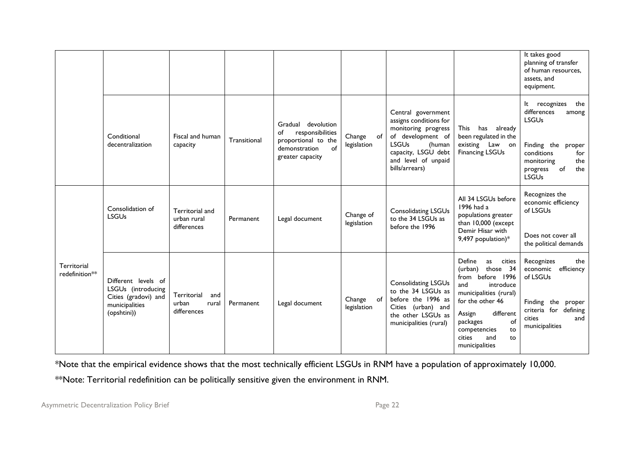|                               |                                                                                                    |                                                     |              |                                                                                                                |                          |                                                                                                                                                                                    |                                                                                                                                                                                                                                             | It takes good<br>planning of transfer<br>of human resources,<br>assets, and<br>equipment.                                                                             |
|-------------------------------|----------------------------------------------------------------------------------------------------|-----------------------------------------------------|--------------|----------------------------------------------------------------------------------------------------------------|--------------------------|------------------------------------------------------------------------------------------------------------------------------------------------------------------------------------|---------------------------------------------------------------------------------------------------------------------------------------------------------------------------------------------------------------------------------------------|-----------------------------------------------------------------------------------------------------------------------------------------------------------------------|
|                               | Conditional<br>decentralization                                                                    | Fiscal and human<br>capacity                        | Transitional | Gradual devolution<br>responsibilities<br>of<br>proportional to the<br>of<br>demonstration<br>greater capacity | Change of<br>legislation | Central government<br>assigns conditions for<br>monitoring progress<br>of development of<br><b>LSGUs</b><br>(human<br>capacity, LSGU debt<br>and level of unpaid<br>bills/arrears) | <b>This</b><br>has already<br>been regulated in the<br>existing Law on<br><b>Financing LSGUs</b>                                                                                                                                            | It recognizes<br>the<br>differences<br>among<br><b>LSGUs</b><br>Finding the proper<br>conditions<br>for<br>the<br>monitoring<br>the<br>of<br>progress<br><b>LSGUs</b> |
|                               | Consolidation of<br><b>LSGUs</b>                                                                   | Territorial and<br>urban rural<br>differences       | Permanent    | Legal document                                                                                                 | Change of<br>legislation | <b>Consolidating LSGUs</b><br>to the 34 LSGUs as<br>before the 1996                                                                                                                | All 34 LSGUs before<br>1996 had a<br>populations greater<br>than 10,000 (except<br>Demir Hisar with<br>9,497 population)*                                                                                                                   | Recognizes the<br>economic efficiency<br>of LSGUs<br>Does not cover all<br>the political demands                                                                      |
| Territorial<br>redefinition** | Different levels of<br>LSGUs (introducing<br>Cities (gradovi) and<br>municipalities<br>(opshtini)) | Territorial<br>and<br>urban<br>rural<br>differences | Permanent    | Legal document                                                                                                 | Change of<br>legislation | Consolidating LSGUs<br>to the 34 LSGUs as<br>before the 1996 as<br>Cities (urban) and<br>the other LSGUs as<br>municipalities (rural)                                              | Define<br>cities<br>as<br>those 34<br>(urban)<br>from before 1996<br>and<br>introduce<br>municipalities (rural)<br>for the other 46<br>different<br>Assign<br>of<br>packages<br>competencies<br>to<br>cities<br>and<br>to<br>municipalities | Recognizes<br>the<br>economic<br>efficiency<br>of LSGUs<br>Finding the proper<br>criteria for defining<br>cities<br>and<br>municipalities                             |

\*Note that the empirical evidence shows that the most technically efficient LSGUs in RNM have a population of approximately 10,000.

\*\*Note: Territorial redefinition can be politically sensitive given the environment in RNM.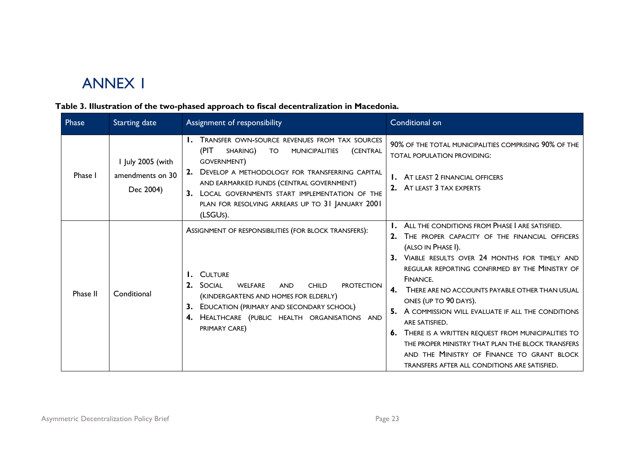## ANNEX 1

### **Table 3. Illustration of the two-phased approach to fiscal decentralization in Macedonia.**

<span id="page-23-0"></span>

| Phase    | <b>Starting date</b>                               | Assignment of responsibility                                                                                                                                                                                                                                                                                                                                   | Conditional on                                                                                                                                                                                                                                                                                                                                                                                                                                                                                                                                                                                                                          |
|----------|----------------------------------------------------|----------------------------------------------------------------------------------------------------------------------------------------------------------------------------------------------------------------------------------------------------------------------------------------------------------------------------------------------------------------|-----------------------------------------------------------------------------------------------------------------------------------------------------------------------------------------------------------------------------------------------------------------------------------------------------------------------------------------------------------------------------------------------------------------------------------------------------------------------------------------------------------------------------------------------------------------------------------------------------------------------------------------|
| Phase I  | I July 2005 (with<br>amendments on 30<br>Dec 2004) | <b>I.</b> TRANSFER OWN-SOURCE REVENUES FROM TAX SOURCES<br>(PIT)<br>SHARING)<br><b>MUNICIPALITIES</b><br>TO<br>(CENTRAL<br>GOVERNMENT)<br>2.<br>DEVELOP A METHODOLOGY FOR TRANSFERRING CAPITAL<br>AND EARMARKED FUNDS (CENTRAL GOVERNMENT)<br>3. LOCAL GOVERNMENTS START IMPLEMENTATION OF THE<br>PLAN FOR RESOLVING ARREARS UP TO 31 JANUARY 2001<br>(LSGUS). | 90% OF THE TOTAL MUNICIPALITIES COMPRISING 90% OF THE<br><b>TOTAL POPULATION PROVIDING:</b><br><b>I.</b> AT LEAST 2 FINANCIAL OFFICERS<br>2. AT LEAST 3 TAX EXPERTS                                                                                                                                                                                                                                                                                                                                                                                                                                                                     |
| Phase II | Conditional                                        | ASSIGNMENT OF RESPONSIBILITIES (FOR BLOCK TRANSFERS):<br>I. CULTURE<br><b>SOCIAL</b><br>2.<br><b>WELFARE</b><br><b>AND</b><br><b>CHILD</b><br><b>PROTECTION</b><br>(KINDERGARTENS AND HOMES FOR ELDERLY)<br>EDUCATION (PRIMARY AND SECONDARY SCHOOL)<br>3.<br>4. HEALTHCARE (PUBLIC HEALTH ORGANISATIONS AND<br>PRIMARY CARE)                                  | ALL THE CONDITIONS FROM PHASE I ARE SATISFIED.<br>THE PROPER CAPACITY OF THE FINANCIAL OFFICERS<br>2.<br>(ALSO IN PHASE I).<br>3. VIABLE RESULTS OVER 24 MONTHS FOR TIMELY AND<br>REGULAR REPORTING CONFIRMED BY THE MINISTRY OF<br>FINANCE.<br>$\mathbf{4}$<br>THERE ARE NO ACCOUNTS PAYABLE OTHER THAN USUAL<br>ONES (UP TO 90 DAYS).<br>A COMMISSION WILL EVALUATE IF ALL THE CONDITIONS<br>ARE SATISFIED.<br><b>6.</b> THERE IS A WRITTEN REQUEST FROM MUNICIPALITIES TO<br>THE PROPER MINISTRY THAT PLAN THE BLOCK TRANSFERS<br>AND THE MINISTRY OF FINANCE TO GRANT BLOCK<br><b>TRANSFERS AFTER ALL CONDITIONS ARE SATISFIED.</b> |